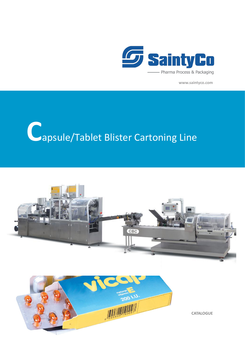

www.saintyco.com

## Capsule/Tablet Blister Cartoning Line





**CATALOGUE**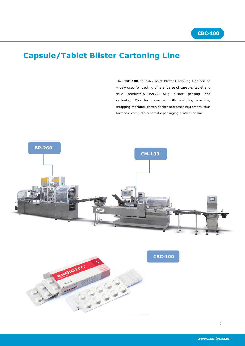## **Capsule/Tablet Blister Cartoning Line**

The **CBC-100** Capsule/Tablet Blister Cartoning Line can be widely used for packing different size of capsule, tablet and solid products(Alu-PVC/Alu-Alu) blister packing and cartoning. Can be connected with weighing machine, strapping machine, carton packer and other equipment, thus formed a complete automatic packaging production line.



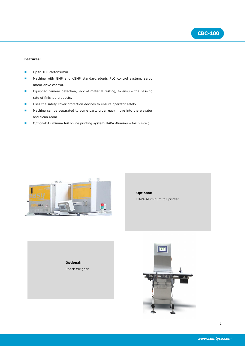

## **Features:**

- Up to 100 cartons/min.
- **Machine with GMP and cGMP standard, adopts PLC control system, servo** motor drive control.
- **E** Equipped camera detection, lack of material testing, to ensure the passing rate of finished products.
- **Uses the safety cover protection devices to ensure operator safety.**
- **Machine can be separated to some parts, order easy move into the elevator** and clean room.
- Optional: Aluminum foil online printing system (HAPA Aluminum foil printer).



## **Optional:** HAPA Aluminum foil printer

**Optional:** Check Weigher

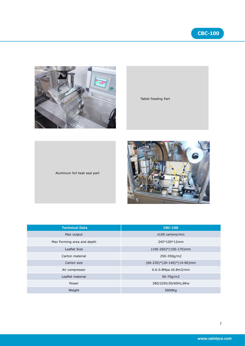3

**CBC-100**

*www.saintyco.com*

| <b>Technical Data</b>      | <b>CBC-100</b>                 |
|----------------------------|--------------------------------|
| Max output                 | $\leq$ 100 cartons/min         |
| Max Forming area and depth | 245*100*12mm                   |
| Leaflet Size               | $(100-260)*(100-170)$ mm       |
| Carton material            | 250-350g/m2                    |
| Carton size                | $(60-230)*(20-140)*(14-80)$ mm |
| Air compressor             | $0.6 - 0.8$ Mpa ≥0.8m3/min     |
| Leaflet material           | 50-70g/m2                      |
| Power                      | 380/220V,50/60Hz,8Kw           |
| Weight                     | 5000Kg                         |

| <b>Technical Data</b>      | <b>CBC-100</b>                 |
|----------------------------|--------------------------------|
| Max output                 | ≤100 cartons/min               |
| Max Forming area and depth | 245*100*12mm                   |
| Leaflet Size               | $(100-260)*(100-170)$ mm       |
| Carton material            | 250-350g/m2                    |
| Carton size                | $(60-230)*(20-140)*(14-80)$ mm |



Aluminum foil heat seal part

Tablet Feeding Part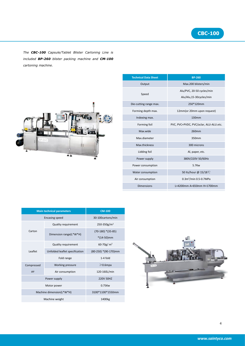

*The CBC-100 Capsule/Tablet Blister Cartoning Line is included BP-260 blister packing machine and CM-100 cartoning machine.*



| <b>Technical Data Sheet</b> |                        | <b>BP-260</b>                          |
|-----------------------------|------------------------|----------------------------------------|
|                             | Output                 | Max.200 blisters/min                   |
|                             |                        | Alu/PVC, 20-50 cycles/min              |
|                             | Speed                  | Alu/Alu,15-30cycles/min                |
|                             | Die-cutting range max. | 250*120mm                              |
|                             | Forming depth max.     | 12mm(or 20mm upon request)             |
|                             | Indexing max.          | 130mm                                  |
|                             | Forming foil           | PVC, PVC+PVDC, PVC/aclar, ALU-ALU.etc. |
|                             | Max.wide               | 260mm                                  |
|                             | Max.diameter           | 350mm                                  |
|                             | Max.thickness          | 300 microns                            |
|                             | Lidding foil           | Al, paper, etc.                        |
|                             | Power supply           | 380V/220V 50/60Hz                      |
|                             | Power consumption      | 5.7Kw                                  |
|                             | Water consumption      | 50 Its/hour @ 15/18 °C                 |
|                             | Air consumption        | 0.3m <sup>3</sup> /min 0.5-0.7MPa      |
|                             | <b>Dimensions</b>      | L=4200mm A=650mm H=1700mm              |
|                             |                        |                                        |

| <b>Main technical parameters</b> |                                | <b>CM-100</b>           |        |
|----------------------------------|--------------------------------|-------------------------|--------|
| <b>Encasing speed</b>            |                                | 30-100cartons/min       |        |
|                                  | <b>Quality requirement</b>     | 250-350g/m <sup>2</sup> |        |
| Carton                           | Dimension range(L*W*H)         | $(70-180)*(35-85)$      |        |
|                                  |                                | $*(14-50)$ mm           |        |
|                                  | <b>Quality requirement</b>     | 60-70g/ $m2$            |        |
| Leaflet                          | Unfolded leaflet specification | (80-250) *(90-170)mm    |        |
|                                  | Fold range                     | $1-4$ fold              |        |
| Compressed                       | Working pressure               | $\geqslant$ 0.6mpa      | CM-100 |
| air                              | Air consumption                | 120-160L/min            |        |
| Power supply                     |                                | 220V 50HZ               |        |
| Motor power                      |                                | 0.75Kw                  |        |
| Machine dimension(L*W*H)         |                                | 3100*1100*1550mm        |        |
| Machine weight                   |                                | 1400kg                  |        |